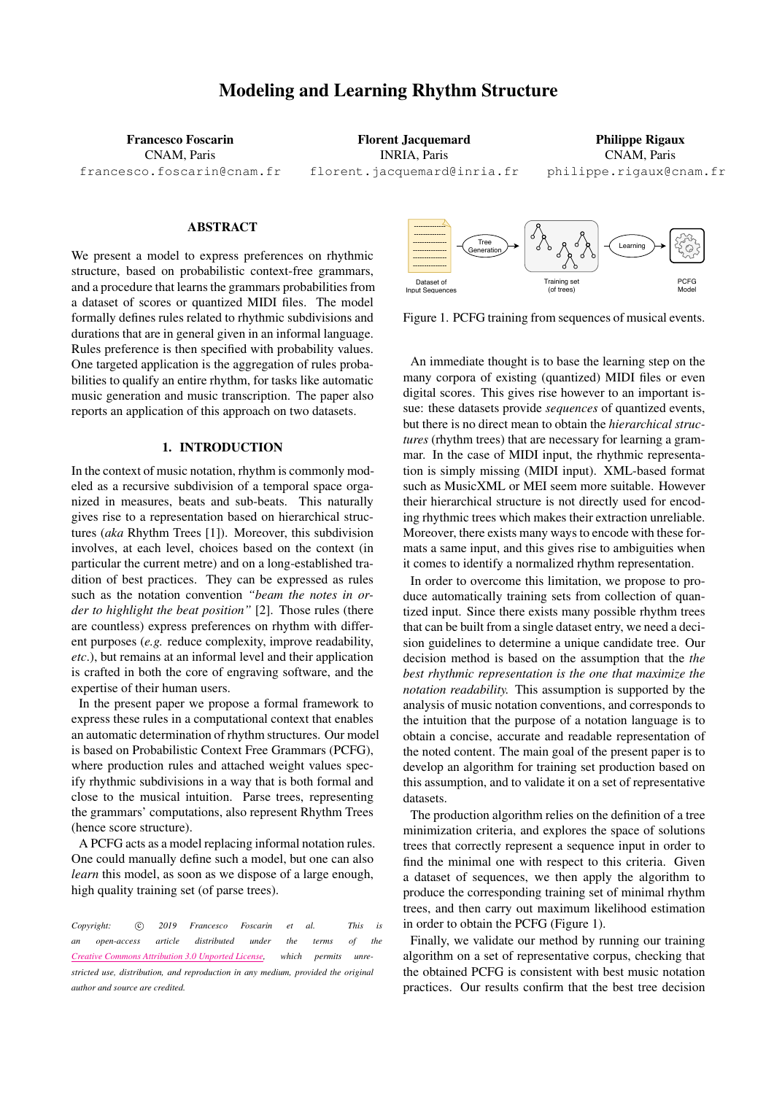# Modeling and Learning Rhythm Structure

Francesco Foscarin CNAM, Paris [francesco.foscarin@cnam.fr](mailto:francesco.foscarin@cnam.fr)

Florent Jacquemard INRIA, Paris [florent.jacquemard@inria.fr](mailto:florent.jacquemard@inria.fr)

Philippe Rigaux CNAM, Paris [philippe.rigaux@cnam.fr](mailto:philippe.rigaux@cnam.fr )

# ABSTRACT

We present a model to express preferences on rhythmic structure, based on probabilistic context-free grammars, and a procedure that learns the grammars probabilities from a dataset of scores or quantized MIDI files. The model formally defines rules related to rhythmic subdivisions and durations that are in general given in an informal language. Rules preference is then specified with probability values. One targeted application is the aggregation of rules probabilities to qualify an entire rhythm, for tasks like automatic music generation and music transcription. The paper also reports an application of this approach on two datasets.

## 1. INTRODUCTION

In the context of music notation, rhythm is commonly modeled as a recursive subdivision of a temporal space organized in measures, beats and sub-beats. This naturally gives rise to a representation based on hierarchical structures (*aka* Rhythm Trees [\[1\]](#page-5-0)). Moreover, this subdivision involves, at each level, choices based on the context (in particular the current metre) and on a long-established tradition of best practices. They can be expressed as rules such as the notation convention *"beam the notes in order to highlight the beat position"* [\[2\]](#page-5-1). Those rules (there are countless) express preferences on rhythm with different purposes (*e.g.* reduce complexity, improve readability, *etc*.), but remains at an informal level and their application is crafted in both the core of engraving software, and the expertise of their human users.

In the present paper we propose a formal framework to express these rules in a computational context that enables an automatic determination of rhythm structures. Our model is based on Probabilistic Context Free Grammars (PCFG), where production rules and attached weight values specify rhythmic subdivisions in a way that is both formal and close to the musical intuition. Parse trees, representing the grammars' computations, also represent Rhythm Trees (hence score structure).

A PCFG acts as a model replacing informal notation rules. One could manually define such a model, but one can also *learn* this model, as soon as we dispose of a large enough, high quality training set (of parse trees).

*Copyright:*  $\circ$  *C*) 2019 *Francesco Foscarin et al. This is an open-access article distributed under the terms of the Creative Commons [Attribution](http://creativecommons.org/licenses/by/3.0/) 3.0 Unported License, which permits unrestricted use, distribution, and reproduction in any medium, provided the original author and source are credited.*

<span id="page-0-0"></span>

Figure 1. PCFG training from sequences of musical events.

An immediate thought is to base the learning step on the many corpora of existing (quantized) MIDI files or even digital scores. This gives rise however to an important issue: these datasets provide *sequences* of quantized events, but there is no direct mean to obtain the *hierarchical structures* (rhythm trees) that are necessary for learning a grammar. In the case of MIDI input, the rhythmic representation is simply missing (MIDI input). XML-based format such as MusicXML or MEI seem more suitable. However their hierarchical structure is not directly used for encoding rhythmic trees which makes their extraction unreliable. Moreover, there exists many ways to encode with these formats a same input, and this gives rise to ambiguities when it comes to identify a normalized rhythm representation.

In order to overcome this limitation, we propose to produce automatically training sets from collection of quantized input. Since there exists many possible rhythm trees that can be built from a single dataset entry, we need a decision guidelines to determine a unique candidate tree. Our decision method is based on the assumption that the *the best rhythmic representation is the one that maximize the notation readability.* This assumption is supported by the analysis of music notation conventions, and corresponds to the intuition that the purpose of a notation language is to obtain a concise, accurate and readable representation of the noted content. The main goal of the present paper is to develop an algorithm for training set production based on this assumption, and to validate it on a set of representative datasets.

The production algorithm relies on the definition of a tree minimization criteria, and explores the space of solutions trees that correctly represent a sequence input in order to find the minimal one with respect to this criteria. Given a dataset of sequences, we then apply the algorithm to produce the corresponding training set of minimal rhythm trees, and then carry out maximum likelihood estimation in order to obtain the PCFG (Figure [1\)](#page-0-0).

Finally, we validate our method by running our training algorithm on a set of representative corpus, checking that the obtained PCFG is consistent with best music notation practices. Our results confirm that the best tree decision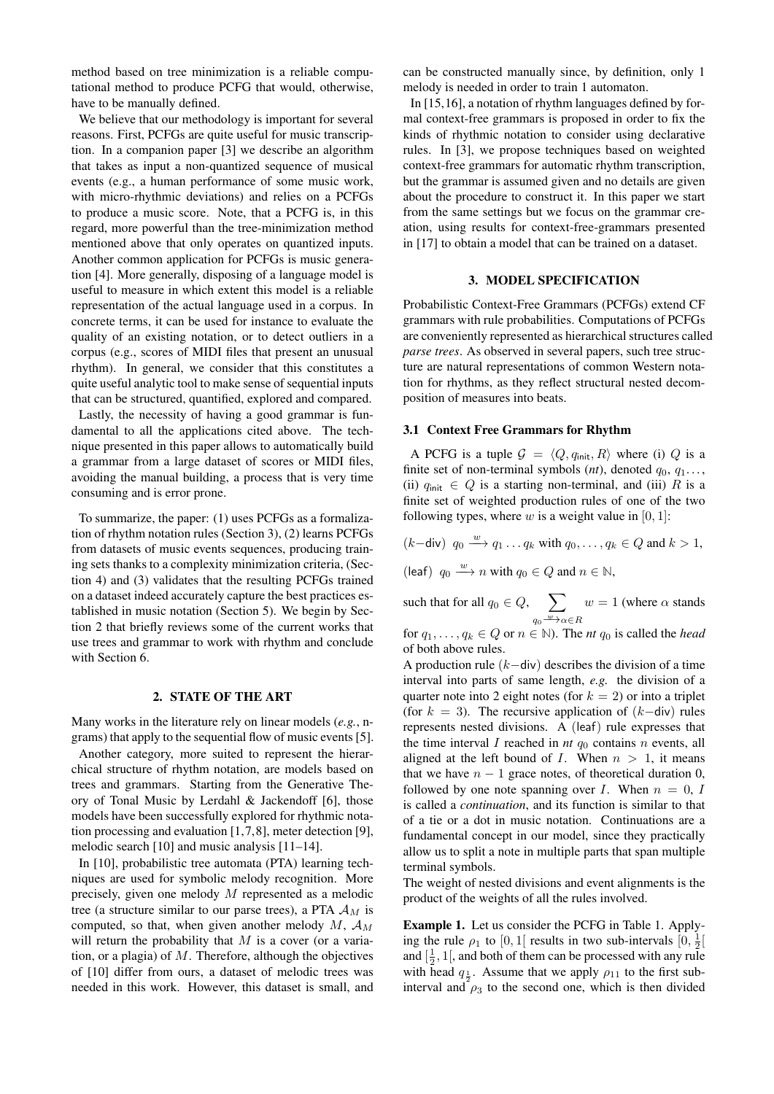method based on tree minimization is a reliable computational method to produce PCFG that would, otherwise, have to be manually defined.

We believe that our methodology is important for several reasons. First, PCFGs are quite useful for music transcription. In a companion paper [\[3\]](#page-5-2) we describe an algorithm that takes as input a non-quantized sequence of musical events (e.g., a human performance of some music work, with micro-rhythmic deviations) and relies on a PCFGs to produce a music score. Note, that a PCFG is, in this regard, more powerful than the tree-minimization method mentioned above that only operates on quantized inputs. Another common application for PCFGs is music generation [\[4\]](#page-6-0). More generally, disposing of a language model is useful to measure in which extent this model is a reliable representation of the actual language used in a corpus. In concrete terms, it can be used for instance to evaluate the quality of an existing notation, or to detect outliers in a corpus (e.g., scores of MIDI files that present an unusual rhythm). In general, we consider that this constitutes a quite useful analytic tool to make sense of sequential inputs that can be structured, quantified, explored and compared.

Lastly, the necessity of having a good grammar is fundamental to all the applications cited above. The technique presented in this paper allows to automatically build a grammar from a large dataset of scores or MIDI files, avoiding the manual building, a process that is very time consuming and is error prone.

To summarize, the paper: (1) uses PCFGs as a formalization of rhythm notation rules (Section [3\)](#page-1-0), (2) learns PCFGs from datasets of music events sequences, producing training sets thanks to a complexity minimization criteria, (Section [4\)](#page-2-0) and (3) validates that the resulting PCFGs trained on a dataset indeed accurately capture the best practices established in music notation (Section [5\)](#page-4-0). We begin by Section [2](#page-1-1) that briefly reviews some of the current works that use trees and grammar to work with rhythm and conclude with Section [6.](#page-5-3)

## 2. STATE OF THE ART

<span id="page-1-1"></span>Many works in the literature rely on linear models (*e.g.*, ngrams) that apply to the sequential flow of music events [\[5\]](#page-6-1).

Another category, more suited to represent the hierarchical structure of rhythm notation, are models based on trees and grammars. Starting from the Generative Theory of Tonal Music by Lerdahl & Jackendoff [\[6\]](#page-6-2), those models have been successfully explored for rhythmic notation processing and evaluation [\[1,](#page-5-0)[7,](#page-6-3)[8\]](#page-6-4), meter detection [\[9\]](#page-6-5), melodic search [\[10\]](#page-6-6) and music analysis [\[11–](#page-6-7)[14\]](#page-6-8).

In [\[10\]](#page-6-6), probabilistic tree automata (PTA) learning techniques are used for symbolic melody recognition. More precisely, given one melody M represented as a melodic tree (a structure similar to our parse trees), a PTA  $A_M$  is computed, so that, when given another melody M,  $\mathcal{A}_M$ will return the probability that  $M$  is a cover (or a variation, or a plagia) of  $M$ . Therefore, although the objectives of [\[10\]](#page-6-6) differ from ours, a dataset of melodic trees was needed in this work. However, this dataset is small, and can be constructed manually since, by definition, only 1 melody is needed in order to train 1 automaton.

In [\[15](#page-6-9)[,16\]](#page-6-10), a notation of rhythm languages defined by formal context-free grammars is proposed in order to fix the kinds of rhythmic notation to consider using declarative rules. In [\[3\]](#page-5-2), we propose techniques based on weighted context-free grammars for automatic rhythm transcription, but the grammar is assumed given and no details are given about the procedure to construct it. In this paper we start from the same settings but we focus on the grammar creation, using results for context-free-grammars presented in [\[17\]](#page-6-11) to obtain a model that can be trained on a dataset.

## 3. MODEL SPECIFICATION

<span id="page-1-0"></span>Probabilistic Context-Free Grammars (PCFGs) extend CF grammars with rule probabilities. Computations of PCFGs are conveniently represented as hierarchical structures called *parse trees*. As observed in several papers, such tree structure are natural representations of common Western notation for rhythms, as they reflect structural nested decomposition of measures into beats.

#### <span id="page-1-3"></span>3.1 Context Free Grammars for Rhythm

A PCFG is a tuple  $\mathcal{G} = \langle Q, q_{\text{init}}, R \rangle$  where (i) Q is a finite set of non-terminal symbols  $(nt)$ , denoted  $q_0, q_1...$ , (ii)  $q_{init} \in Q$  is a starting non-terminal, and (iii) R is a finite set of weighted production rules of one of the two following types, where  $w$  is a weight value in [0, 1]:

$$
(k-\text{div})
$$
  $q_0 \xrightarrow{w} q_1 \dots q_k$  with  $q_0, \dots, q_k \in Q$  and  $k > 1$ ,

(leaf)  $q_0 \stackrel{w}{\longrightarrow} n$  with  $q_0 \in Q$  and  $n \in \mathbb{N}$ ,

such that for all  $q_0 \in Q$ ,  $\sum$  $q_0 \stackrel{w}{\longrightarrow} \alpha \in R$  $w = 1$  (where  $\alpha$  stands

for  $q_1, \ldots, q_k \in Q$  or  $n \in \mathbb{N}$ ). The *nt*  $q_0$  is called the *head* of both above rules.

A production rule  $(k-$ div) describes the division of a time interval into parts of same length, *e.g.* the division of a quarter note into 2 eight notes (for  $k = 2$ ) or into a triplet (for  $k = 3$ ). The recursive application of  $(k-div)$  rules represents nested divisions. A (leaf) rule expresses that the time interval I reached in  $nt q_0$  contains  $n$  events, all aligned at the left bound of  $I$ . When  $n > 1$ , it means that we have  $n - 1$  grace notes, of theoretical duration 0, followed by one note spanning over I. When  $n = 0$ , I is called a *continuation*, and its function is similar to that of a tie or a dot in music notation. Continuations are a fundamental concept in our model, since they practically allow us to split a note in multiple parts that span multiple terminal symbols.

The weight of nested divisions and event alignments is the product of the weights of all the rules involved.

<span id="page-1-2"></span>Example 1. Let us consider the PCFG in Table [1.](#page-4-1) Applying the rule  $\rho_1$  to [0, 1] results in two sub-intervals  $[0, \frac{1}{2}]$ and  $\left[\frac{1}{2}, 1\right]$ , and both of them can be processed with any rule with head  $q_{\frac{1}{2}}$ . Assume that we apply  $\rho_{11}$  to the first subinterval and  $\frac{1}{2}$  to the second one, which is then divided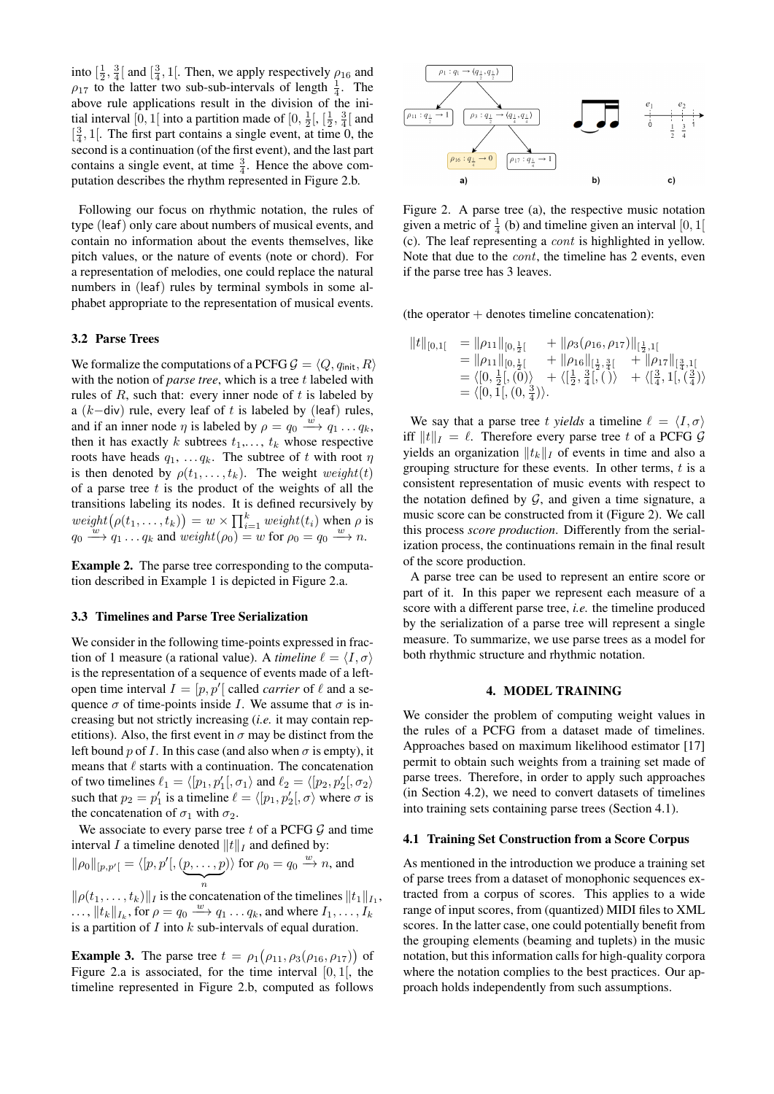into  $\left[\frac{1}{2}, \frac{3}{4}\right]$  and  $\left[\frac{3}{4}, 1\right]$ . Then, we apply respectively  $\rho_{16}$  and  $\rho_{17}$  to the latter two sub-sub-intervals of length  $\frac{1}{4}$ . The above rule applications result in the division of the initial interval [0, 1] into a partition made of  $[0, \frac{1}{2}]$ ,  $[\frac{1}{2}, \frac{3}{4}]$  and  $\left[\frac{3}{4}, 1\right]$ . The first part contains a single event, at time 0, the second is a continuation (of the first event), and the last part contains a single event, at time  $\frac{3}{4}$ . Hence the above computation describes the rhythm represented in Figure [2.](#page-2-1)b.

Following our focus on rhythmic notation, the rules of type (leaf) only care about numbers of musical events, and contain no information about the events themselves, like pitch values, or the nature of events (note or chord). For a representation of melodies, one could replace the natural numbers in (leaf) rules by terminal symbols in some alphabet appropriate to the representation of musical events.

## 3.2 Parse Trees

We formalize the computations of a PCFG  $\mathcal{G} = \langle Q, q_{\text{init}}, R \rangle$ with the notion of *parse tree*, which is a tree t labeled with rules of  $R$ , such that: every inner node of  $t$  is labeled by a ( $k$ -div) rule, every leaf of t is labeled by (leaf) rules, and if an inner node  $\eta$  is labeled by  $\rho = q_0 \xrightarrow{w} q_1 \dots q_k$ , then it has exactly k subtrees  $t_1, \ldots, t_k$  whose respective roots have heads  $q_1, \ldots, q_k$ . The subtree of t with root  $\eta$ is then denoted by  $\rho(t_1, \ldots, t_k)$ . The weight weight(t) of a parse tree  $t$  is the product of the weights of all the transitions labeling its nodes. It is defined recursively by  $weight(\rho(t_1, \ldots, t_k)) = w \times \prod_{i=1}^k weight(t_i)$  when  $\rho$  is  $q_0 \stackrel{w}{\longrightarrow} q_1 \dots q_k$  and  $weight(\rho_0) = w$  for  $\rho_0 = q_0 \stackrel{w}{\longrightarrow} n$ .

Example 2. The parse tree corresponding to the computation described in Example [1](#page-1-2) is depicted in Figure [2.](#page-2-1)a.

## 3.3 Timelines and Parse Tree Serialization

We consider in the following time-points expressed in fraction of 1 measure (a rational value). A *timeline*  $\ell = \langle I, \sigma \rangle$ is the representation of a sequence of events made of a leftopen time interval  $I = [p, p']$  called *carrier* of  $\ell$  and a sequence  $\sigma$  of time-points inside I. We assume that  $\sigma$  is increasing but not strictly increasing (*i.e.* it may contain repetitions). Also, the first event in  $\sigma$  may be distinct from the left bound p of I. In this case (and also when  $\sigma$  is empty), it means that  $\ell$  starts with a continuation. The concatenation of two timelines  $\ell_1 = \langle [p_1, p_1'], \sigma_1 \rangle$  and  $\ell_2 = \langle [p_2, p_2'], \sigma_2 \rangle$ such that  $p_2 = p'_1$  is a timeline  $\ell = \langle [p_1, p'_2], \sigma \rangle$  where  $\sigma$  is the concatenation of  $\sigma_1$  with  $\sigma_2$ .

We associate to every parse tree  $t$  of a PCFG  $G$  and time interval I a timeline denoted  $||t||_I$  and defined by:

$$
\|\rho_0\|_{[p,p']}=\langle [p,p'],\underbrace{(p,\ldots,p)}_n\rangle \text{ for } \rho_0=q_0 \xrightarrow{w} n \text{, and }
$$

 $\|\rho(t_1,\ldots,t_k)\|_I$  is the concatenation of the timelines  $\|t_1\|_{I_1}$ ,  $\ldots$ ,  $\|t_k\|_{I_k}$ , for  $\rho = q_0 \stackrel{w}{\longrightarrow} q_1 \ldots q_k$ , and where  $I_1, \ldots, I_k$ is a partition of  $I$  into  $k$  sub-intervals of equal duration.

**Example 3.** The parse tree  $t = \rho_1(\rho_{11}, \rho_3(\rho_{16}, \rho_{17}))$  of Figure [2.](#page-2-1)a is associated, for the time interval  $[0, 1]$ , the timeline represented in Figure [2.](#page-2-1)b, computed as follows

<span id="page-2-1"></span>

Figure 2. A parse tree (a), the respective music notation given a metric of  $\frac{1}{4}$  (b) and timeline given an interval [0, 1] (c). The leaf representing a cont is highlighted in yellow. Note that due to the *cont*, the timeline has 2 events, even if the parse tree has 3 leaves.

(the operator  $+$  denotes timeline concatenation):

$$
||t||_{[0,1[} = ||\rho_{11}||_{[0,\frac{1}{2}[} + ||\rho_{3}(\rho_{16},\rho_{17})||_{[\frac{1}{2},1[} = ||\rho_{11}||_{[0,\frac{1}{2}[} + ||\rho_{16}||_{[\frac{1}{2},\frac{3}{4}[} + ||\rho_{17}||_{[\frac{3}{4},1[} = \langle [0,\frac{1}{2}],[0] \rangle + \langle [\frac{1}{2},\frac{3}{4}],[) \rangle + \langle [\frac{3}{4},1],[\frac{3}{4} \rangle \rangle = \langle [0,1],[(0,\frac{3}{4}) \rangle.
$$

We say that a parse tree t *yields* a timeline  $\ell = \langle I, \sigma \rangle$ iff  $||t||_I = \ell$ . Therefore every parse tree t of a PCFG G yields an organization  $||t_k||_I$  of events in time and also a grouping structure for these events. In other terms,  $t$  is a consistent representation of music events with respect to the notation defined by  $G$ , and given a time signature, a music score can be constructed from it (Figure [2\)](#page-2-1). We call this process *score production*. Differently from the serialization process, the continuations remain in the final result of the score production.

A parse tree can be used to represent an entire score or part of it. In this paper we represent each measure of a score with a different parse tree, *i.e.* the timeline produced by the serialization of a parse tree will represent a single measure. To summarize, we use parse trees as a model for both rhythmic structure and rhythmic notation.

#### 4. MODEL TRAINING

<span id="page-2-0"></span>We consider the problem of computing weight values in the rules of a PCFG from a dataset made of timelines. Approaches based on maximum likelihood estimator [\[17\]](#page-6-11) permit to obtain such weights from a training set made of parse trees. Therefore, in order to apply such approaches (in Section [4.2\)](#page-4-2), we need to convert datasets of timelines into training sets containing parse trees (Section [4.1\)](#page-3-0).

## 4.1 Training Set Construction from a Score Corpus

As mentioned in the introduction we produce a training set of parse trees from a dataset of monophonic sequences extracted from a corpus of scores. This applies to a wide range of input scores, from (quantized) MIDI files to XML scores. In the latter case, one could potentially benefit from the grouping elements (beaming and tuplets) in the music notation, but this information calls for high-quality corpora where the notation complies to the best practices. Our approach holds independently from such assumptions.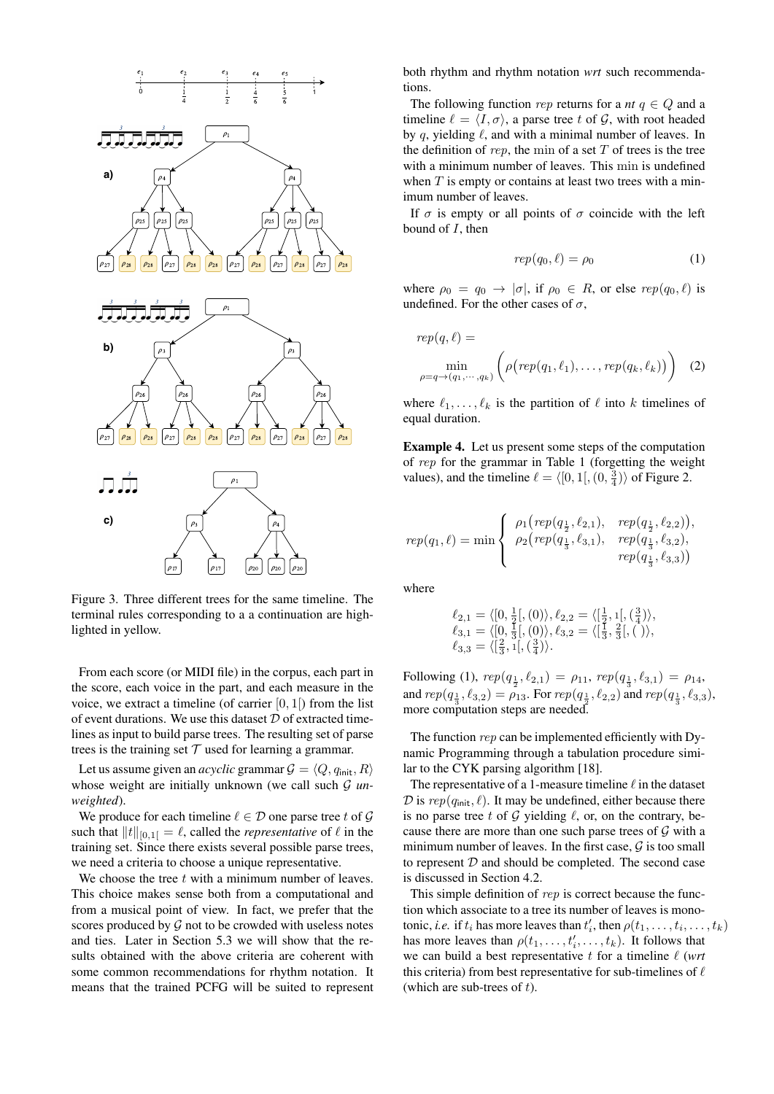<span id="page-3-0"></span>

Figure 3. Three different trees for the same timeline. The terminal rules corresponding to a a continuation are highlighted in yellow.

From each score (or MIDI file) in the corpus, each part in the score, each voice in the part, and each measure in the voice, we extract a timeline (of carrier  $[0, 1]$ ) from the list of event durations. We use this dataset  $D$  of extracted timelines as input to build parse trees. The resulting set of parse trees is the training set  $T$  used for learning a grammar.

Let us assume given an *acyclic* grammar  $\mathcal{G} = \langle Q, q_{\text{init}}, R \rangle$ whose weight are initially unknown (we call such  $G$  *unweighted*).

We produce for each timeline  $\ell \in \mathcal{D}$  one parse tree t of  $\mathcal{G}$ such that  $||t||_{[0,1]} = \ell$ , called the *representative* of  $\ell$  in the training set. Since there exists several possible parse trees, we need a criteria to choose a unique representative.

We choose the tree  $t$  with a minimum number of leaves. This choice makes sense both from a computational and from a musical point of view. In fact, we prefer that the scores produced by  $G$  not to be crowded with useless notes and ties. Later in Section [5.3](#page-5-4) we will show that the results obtained with the above criteria are coherent with some common recommendations for rhythm notation. It means that the trained PCFG will be suited to represent both rhythm and rhythm notation *wrt* such recommendations.

The following function rep returns for a *nt*  $q \in Q$  and a timeline  $\ell = \langle I, \sigma \rangle$ , a parse tree t of G, with root headed by q, yielding  $\ell$ , and with a minimal number of leaves. In the definition of rep, the min of a set  $T$  of trees is the tree with a minimum number of leaves. This min is undefined when  $T$  is empty or contains at least two trees with a minimum number of leaves.

If  $\sigma$  is empty or all points of  $\sigma$  coincide with the left bound of  $I$ , then

<span id="page-3-1"></span>
$$
rep(q_0, \ell) = \rho_0 \tag{1}
$$

where  $\rho_0 = q_0 \rightarrow |\sigma|$ , if  $\rho_0 \in R$ , or else  $rep(q_0, \ell)$  is undefined. For the other cases of  $\sigma$ ,

$$
rep(q, \ell) = \min_{\rho = q \to (q_1, \dots, q_k)} \left( \rho\big( rep(q_1, \ell_1), \dots, rep(q_k, \ell_k) \big) \right) \quad (2)
$$

where  $\ell_1, \ldots, \ell_k$  is the partition of  $\ell$  into k timelines of equal duration.

Example 4. Let us present some steps of the computation of rep for the grammar in Table [1](#page-4-1) (forgetting the weight values), and the timeline  $\ell = \langle [0, 1[, (0, \frac{3}{4}) \rangle$  of Figure [2.](#page-2-1)

$$
rep(q_1, \ell) = \min \begin{cases} \rho_1\big( rep(q_{\frac{1}{2}}, \ell_{2,1}), & rep(q_{\frac{1}{2}}, \ell_{2,2}) \big), \\ \rho_2\big( rep(q_{\frac{1}{3}}, \ell_{3,1}), & rep(q_{\frac{1}{3}}, \ell_{3,2}) , \\ rep(q_{\frac{1}{3}}, \ell_{3,3}) \big) \end{cases}
$$

where

$$
\ell_{2,1} = \langle [0, \frac{1}{2}], (0) \rangle, \ell_{2,2} = \langle [\frac{1}{2}, 1], (\frac{3}{4}) \rangle, \n\ell_{3,1} = \langle [0, \frac{1}{3}], (0) \rangle, \ell_{3,2} = \langle [\frac{1}{3}, \frac{2}{3}], (\cdot) \rangle, \n\ell_{3,3} = \langle [\frac{2}{3}, 1], (\frac{3}{4}) \rangle.
$$

Following [\(1\)](#page-3-1),  $rep(q_{\frac{1}{2}}, \ell_{2,1}) = \rho_{11}$ ,  $rep(q_{\frac{1}{3}}, \ell_{3,1}) = \rho_{14}$ , and  $rep(q_{\frac{1}{3}}, \ell_{3,2}) = \rho_{13}$ . For  $rep(q_{\frac{1}{2}}, \ell_{2,2})$  and  $rep(q_{\frac{1}{3}}, \ell_{3,3})$ , more computation steps are needed.

The function rep can be implemented efficiently with Dynamic Programming through a tabulation procedure similar to the CYK parsing algorithm [\[18\]](#page-6-12).

The representative of a 1-measure timeline  $\ell$  in the dataset  $\mathcal D$  is  $rep(q_{\mathsf{init}}, \ell)$ . It may be undefined, either because there is no parse tree t of G yielding  $\ell$ , or, on the contrary, because there are more than one such parse trees of  $G$  with a minimum number of leaves. In the first case,  $\mathcal G$  is too small to represent  $D$  and should be completed. The second case is discussed in Section [4.2.](#page-4-2)

This simple definition of rep is correct because the function which associate to a tree its number of leaves is monotonic, *i.e.* if  $t_i$  has more leaves than  $t'_i$ , then  $\rho(t_1, \ldots, t_i, \ldots, t_k)$ has more leaves than  $\rho(t_1, \ldots, t_i', \ldots, t_k)$ . It follows that we can build a best representative  $t$  for a timeline  $\ell$  (*wrt* this criteria) from best representative for sub-timelines of  $\ell$ (which are sub-trees of  $t$ ).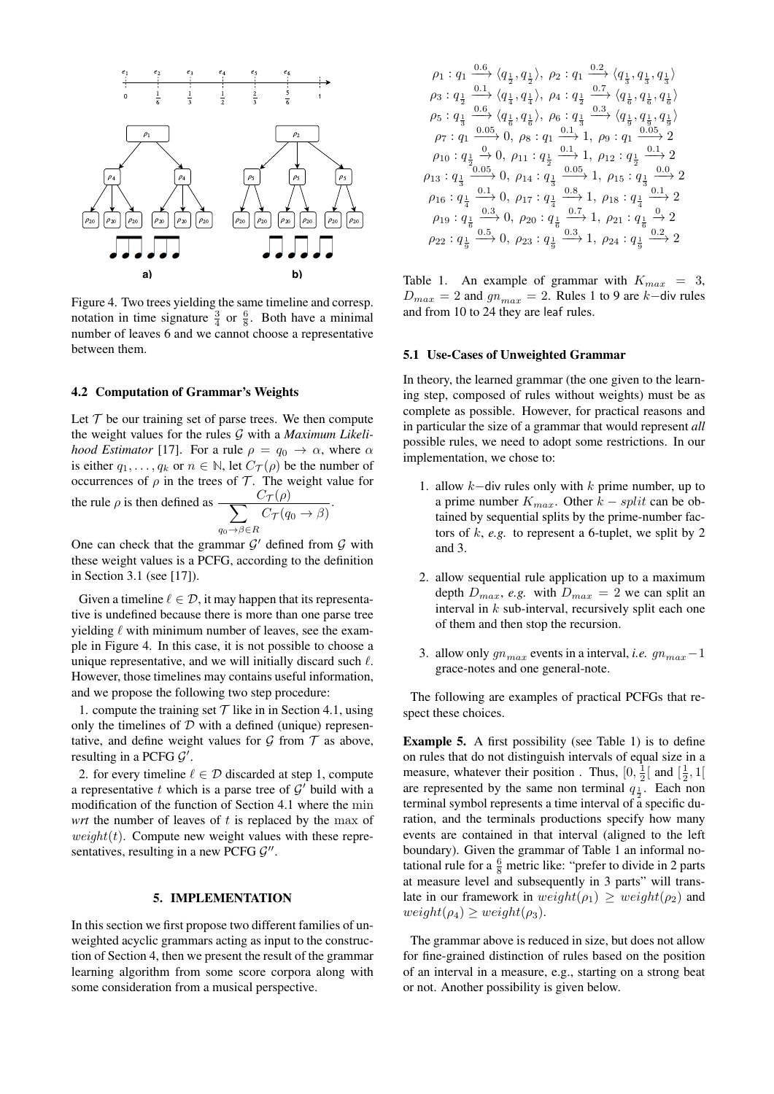<span id="page-4-3"></span>

Figure 4. Two trees yielding the same timeline and corresp. notation in time signature  $\frac{3}{4}$  or  $\frac{6}{8}$ . Both have a minimal number of leaves 6 and we cannot choose a representative between them.

## <span id="page-4-2"></span>4.2 Computation of Grammar's Weights

Let  $T$  be our training set of parse trees. We then compute the weight values for the rules G with a *Maximum Likelihood Estimator* [\[17\]](#page-6-11). For a rule  $\rho = q_0 \rightarrow \alpha$ , where  $\alpha$ is either  $q_1, \ldots, q_k$  or  $n \in \mathbb{N}$ , let  $C_{\mathcal{T}}(\rho)$  be the number of occurrences of  $\rho$  in the trees of  $\mathcal T$ . The weight value for

.

the rule  $\rho$  is then defined as  $\frac{C_{\mathcal{T}}(\rho)}{\sum_{\mathcal{C}_{\mathcal{T}}(q)}$  $q_0 \rightarrow \beta \in R$  $C_{\mathcal{T}}(q_0 \to \beta)$ 

One can check that the grammar  $\mathcal{G}'$  defined from  $\mathcal G$  with these weight values is a PCFG, according to the definition in Section [3.1](#page-1-3) (see [\[17\]](#page-6-11)).

Given a timeline  $\ell \in \mathcal{D}$ , it may happen that its representative is undefined because there is more than one parse tree yielding  $\ell$  with minimum number of leaves, see the example in Figure [4.](#page-4-3) In this case, it is not possible to choose a unique representative, and we will initially discard such  $\ell$ . However, those timelines may contains useful information, and we propose the following two step procedure:

1. compute the training set  $T$  like in in Section [4.1,](#page-3-0) using only the timelines of  $D$  with a defined (unique) representative, and define weight values for  $G$  from  $T$  as above, resulting in a PCFG  $G'$ .

2. for every timeline  $\ell \in \mathcal{D}$  discarded at step 1, compute a representative  $t$  which is a parse tree of  $\mathcal{G}'$  build with a modification of the function of Section [4.1](#page-3-0) where the min *wrt* the number of leaves of t is replaced by the max of  $weight(t)$ . Compute new weight values with these representatives, resulting in a new PCFG  $G''$ .

#### 5. IMPLEMENTATION

<span id="page-4-0"></span>In this section we first propose two different families of unweighted acyclic grammars acting as input to the construction of Section [4,](#page-2-0) then we present the result of the grammar learning algorithm from some score corpora along with some consideration from a musical perspective.

<span id="page-4-1"></span>
$$
\rho_1: q_1 \xrightarrow{0.6} \langle q_{\frac{1}{2}}, q_{\frac{1}{2}} \rangle, \ \rho_2: q_1 \xrightarrow{0.2} \langle q_{\frac{1}{3}}, q_{\frac{1}{3}}, q_{\frac{1}{3}} \rangle
$$
\n
$$
\rho_3: q_{\frac{1}{2}} \xrightarrow{0.1} \langle q_{\frac{1}{4}}, q_{\frac{1}{4}} \rangle, \ \rho_4: q_{\frac{1}{2}} \xrightarrow{0.7} \langle q_{\frac{1}{6}}, q_{\frac{1}{6}}, q_{\frac{1}{6}} \rangle
$$
\n
$$
\rho_5: q_{\frac{1}{3}} \xrightarrow{0.6} \langle q_{\frac{1}{6}}, q_{\frac{1}{6}} \rangle, \ \rho_6: q_{\frac{1}{3}} \xrightarrow{0.3} \langle q_{\frac{1}{9}}, q_{\frac{1}{9}}, q_{\frac{1}{9}} \rangle
$$
\n
$$
\rho_7: q_1 \xrightarrow{0.05} 0, \ \rho_8: q_1 \xrightarrow{0.1} 1, \ \rho_9: q_1 \xrightarrow{0.05} 2
$$
\n
$$
\rho_{10}: q_{\frac{1}{2}} \xrightarrow{0.05} 0, \ \rho_{11}: q_{\frac{1}{2}} \xrightarrow{0.1} 1, \ \rho_{12}: q_{\frac{1}{2}} \xrightarrow{0.1} 2
$$
\n
$$
\rho_{13}: q_{\frac{1}{3}} \xrightarrow{0.05} 0, \ \rho_{14}: q_{\frac{1}{3}} \xrightarrow{0.05} 1, \ \rho_{15}: q_{\frac{1}{3}} \xrightarrow{0.0} 2
$$
\n
$$
\rho_{16}: q_{\frac{1}{4}} \xrightarrow{0.1} 0, \ \rho_{17}: q_{\frac{1}{4}} \xrightarrow{0.8} 1, \ \rho_{18}: q_{\frac{1}{4}} \xrightarrow{0.1} 2
$$
\n
$$
\rho_{19}: q_{\frac{1}{6}} \xrightarrow{0.3} 0, \ \rho_{20}: q_{\frac{1}{6}} \xrightarrow{0.7} 1, \ \rho_{21}: q_{\frac{1}{6}} \xrightarrow{0.2} 2
$$
\n
$$
\rho_{22}: q_{\frac{1}{9}} \xrightarrow{0.5}
$$

Table 1. An example of grammar with  $K_{max} = 3$ ,  $D_{max} = 2$  and  $gn_{max} = 2$ . Rules 1 to 9 are k-div rules and from 10 to 24 they are leaf rules.

#### 5.1 Use-Cases of Unweighted Grammar

In theory, the learned grammar (the one given to the learning step, composed of rules without weights) must be as complete as possible. However, for practical reasons and in particular the size of a grammar that would represent *all* possible rules, we need to adopt some restrictions. In our implementation, we chose to:

- 1. allow k−div rules only with k prime number, up to a prime number  $K_{max}$ . Other  $k - split$  can be obtained by sequential splits by the prime-number factors of  $k$ ,  $e.g.$  to represent a 6-tuplet, we split by 2 and 3.
- 2. allow sequential rule application up to a maximum depth  $D_{max}$ , *e.g.* with  $D_{max} = 2$  we can split an interval in  $k$  sub-interval, recursively split each one of them and then stop the recursion.
- 3. allow only  $gn_{max}$  events in a interval, *i.e.*  $gn_{max} 1$ grace-notes and one general-note.

The following are examples of practical PCFGs that respect these choices.

<span id="page-4-4"></span>Example 5. A first possibility (see Table [1\)](#page-4-1) is to define on rules that do not distinguish intervals of equal size in a measure, whatever their position. Thus,  $[0, \frac{1}{2}]$  and  $[\frac{1}{2}, 1]$ are represented by the same non terminal  $q_{\frac{1}{2}}$ . Each non terminal symbol represents a time interval of a specific duration, and the terminals productions specify how many events are contained in that interval (aligned to the left boundary). Given the grammar of Table [1](#page-4-1) an informal notational rule for a  $\frac{6}{8}$  metric like: "prefer to divide in 2 parts at measure level and subsequently in 3 parts" will translate in our framework in  $weight(\rho_1) \geq weight(\rho_2)$  and  $weight(\rho_4) \geq weight(\rho_3).$ 

The grammar above is reduced in size, but does not allow for fine-grained distinction of rules based on the position of an interval in a measure, e.g., starting on a strong beat or not. Another possibility is given below.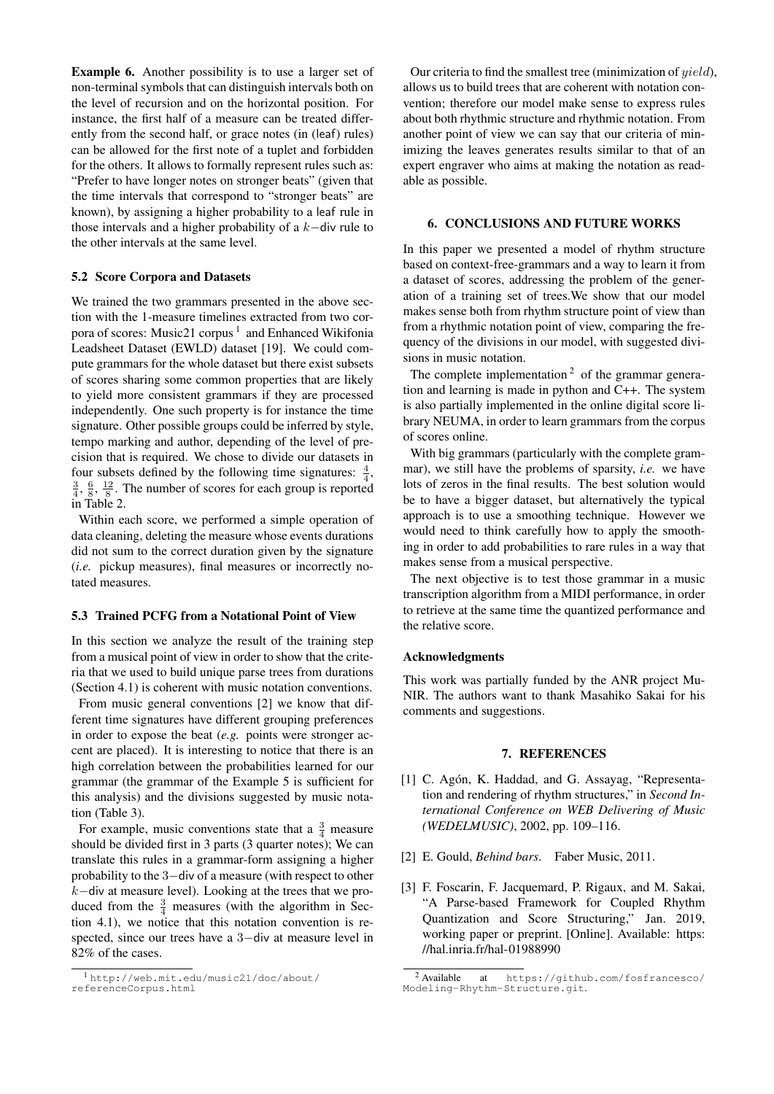Example 6. Another possibility is to use a larger set of non-terminal symbols that can distinguish intervals both on the level of recursion and on the horizontal position. For instance, the first half of a measure can be treated differently from the second half, or grace notes (in (leaf) rules) can be allowed for the first note of a tuplet and forbidden for the others. It allows to formally represent rules such as: "Prefer to have longer notes on stronger beats" (given that the time intervals that correspond to "stronger beats" are known), by assigning a higher probability to a leaf rule in those intervals and a higher probability of a k−div rule to the other intervals at the same level.

## 5.2 Score Corpora and Datasets

We trained the two grammars presented in the above section with the 1-measure timelines extracted from two cor-pora of scores: Music2[1](#page-5-5) corpus<sup>1</sup> and Enhanced Wikifonia Leadsheet Dataset (EWLD) dataset [\[19\]](#page-6-13). We could compute grammars for the whole dataset but there exist subsets of scores sharing some common properties that are likely to yield more consistent grammars if they are processed independently. One such property is for instance the time signature. Other possible groups could be inferred by style, tempo marking and author, depending of the level of precision that is required. We chose to divide our datasets in four subsets defined by the following time signatures:  $\frac{4}{4}$ ,  $\frac{3}{4}$ ,  $\frac{6}{8}$ ,  $\frac{12}{8}$ . The number of scores for each group is reported in Table [2.](#page-6-14)

Within each score, we performed a simple operation of data cleaning, deleting the measure whose events durations did not sum to the correct duration given by the signature (*i.e.* pickup measures), final measures or incorrectly notated measures.

## <span id="page-5-4"></span>5.3 Trained PCFG from a Notational Point of View

In this section we analyze the result of the training step from a musical point of view in order to show that the criteria that we used to build unique parse trees from durations (Section [4.1\)](#page-3-0) is coherent with music notation conventions.

From music general conventions [\[2\]](#page-5-1) we know that different time signatures have different grouping preferences in order to expose the beat (*e.g.* points were stronger accent are placed). It is interesting to notice that there is an high correlation between the probabilities learned for our grammar (the grammar of the Example [5](#page-4-4) is sufficient for this analysis) and the divisions suggested by music notation (Table [3\)](#page-6-15).

For example, music conventions state that a  $\frac{3}{4}$  measure should be divided first in 3 parts (3 quarter notes); We can translate this rules in a grammar-form assigning a higher probability to the 3−div of a measure (with respect to other k−div at measure level). Looking at the trees that we produced from the  $\frac{3}{4}$  measures (with the algorithm in Section [4.1\)](#page-3-0), we notice that this notation convention is respected, since our trees have a 3−div at measure level in 82% of the cases.

Our criteria to find the smallest tree (minimization of yield), allows us to build trees that are coherent with notation convention; therefore our model make sense to express rules about both rhythmic structure and rhythmic notation. From another point of view we can say that our criteria of minimizing the leaves generates results similar to that of an expert engraver who aims at making the notation as readable as possible.

## <span id="page-5-3"></span>6. CONCLUSIONS AND FUTURE WORKS

In this paper we presented a model of rhythm structure based on context-free-grammars and a way to learn it from a dataset of scores, addressing the problem of the generation of a training set of trees.We show that our model makes sense both from rhythm structure point of view than from a rhythmic notation point of view, comparing the frequency of the divisions in our model, with suggested divisions in music notation.

The complete implementation  $2$  of the grammar generation and learning is made in python and C++. The system is also partially implemented in the online digital score library [NEUMA,](http://neuma.huma-num.fr) in order to learn grammars from the corpus of scores online.

With big grammars (particularly with the complete grammar), we still have the problems of sparsity, *i.e.* we have lots of zeros in the final results. The best solution would be to have a bigger dataset, but alternatively the typical approach is to use a smoothing technique. However we would need to think carefully how to apply the smoothing in order to add probabilities to rare rules in a way that makes sense from a musical perspective.

The next objective is to test those grammar in a music transcription algorithm from a MIDI performance, in order to retrieve at the same time the quantized performance and the relative score.

## Acknowledgments

This work was partially funded by the ANR project Mu-NIR. The authors want to thank Masahiko Sakai for his comments and suggestions.

#### 7. REFERENCES

- <span id="page-5-0"></span>[1] C. Agón, K. Haddad, and G. Assayag, "Representation and rendering of rhythm structures," in *Second International Conference on WEB Delivering of Music (WEDELMUSIC)*, 2002, pp. 109–116.
- <span id="page-5-1"></span>[2] E. Gould, *Behind bars*. Faber Music, 2011.
- <span id="page-5-2"></span>[3] F. Foscarin, F. Jacquemard, P. Rigaux, and M. Sakai, "A Parse-based Framework for Coupled Rhythm Quantization and Score Structuring," Jan. 2019, working paper or preprint. [Online]. Available: [https:](https://hal.inria.fr/hal-01988990) [//hal.inria.fr/hal-01988990](https://hal.inria.fr/hal-01988990)

<span id="page-5-5"></span><sup>1</sup> [http://web.mit.edu/music21/doc/about/](http://web.mit.edu/music21/doc/about/referenceCorpus.html) [referenceCorpus.html](http://web.mit.edu/music21/doc/about/referenceCorpus.html)

<span id="page-5-6"></span><sup>2</sup> Available at [https://github.com/fosfrancesco/](https://github.com/fosfrancesco/Modeling-Rhythm-Structure.git) [Modeling-Rhythm-Structure.git](https://github.com/fosfrancesco/Modeling-Rhythm-Structure.git).